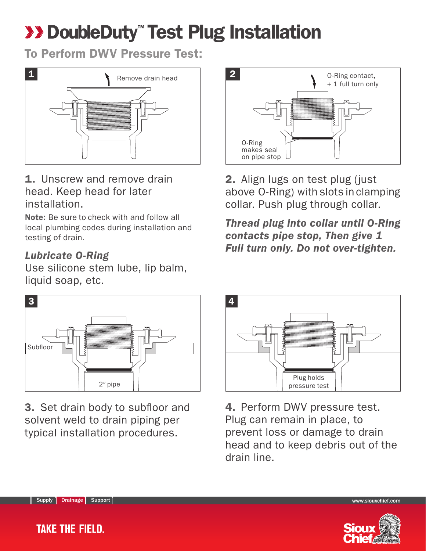## **XX DoubleDuty" Test Plug Installation**

To Perform DWV Pressure Test:



1. Unscrew and remove drain head. Keep head for later installation.

Note: Be sure to check with and follow all local plumbing codes during installation and testing of drain.

## *Lubricate O-Ring*

Use silicone stem lube, lip balm, liquid soap, etc.



3. Set drain body to subfloor and solvent weld to drain piping per typical installation procedures.



2. Align lugs on test plug (just above O-Ring) with slots in clamping collar. Push plug through collar.

*Thread plug into collar until O-Ring contacts pipe stop, Then give 1 Full turn only. Do not over-tighten.*



4. Perform DWV pressure test. Plug can remain in place, to prevent loss or damage to drain head and to keep debris out of the drain line.



Drainage Support